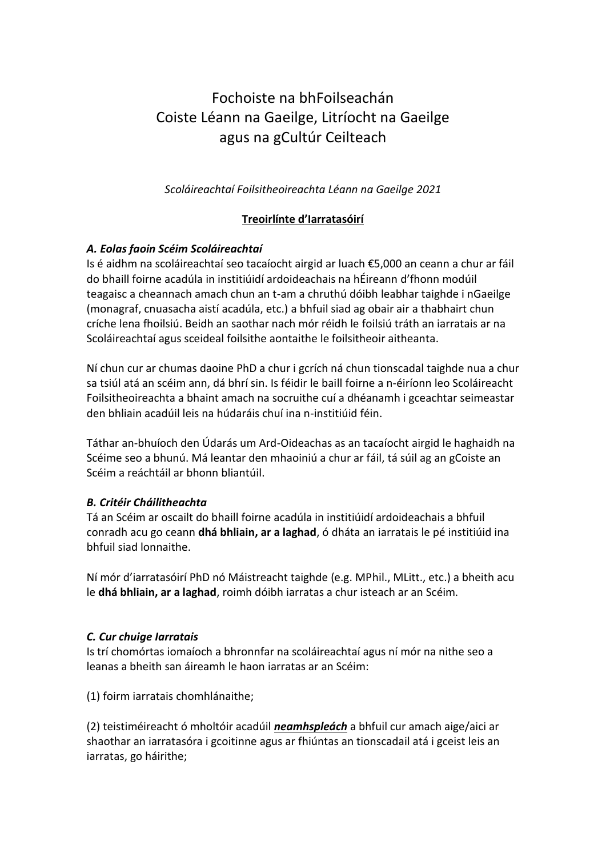# Fochoiste na bhFoilseachán Coiste Léann na Gaeilge, Litríocht na Gaeilge agus na gCultúr Ceilteach

*Scoláireachtaí Foilsitheoireachta Léann na Gaeilge 2021*

# **Treoirlínte d'Iarratasóirí**

## *A. Eolas faoin Scéim Scoláireachtaí*

Is é aidhm na scoláireachtaí seo tacaíocht airgid ar luach €5,000 an ceann a chur ar fáil do bhaill foirne acadúla in institiúidí ardoideachais na hÉireann d'fhonn modúil teagaisc a cheannach amach chun an t-am a chruthú dóibh leabhar taighde i nGaeilge (monagraf, cnuasacha aistí acadúla, etc.) a bhfuil siad ag obair air a thabhairt chun críche lena fhoilsiú. Beidh an saothar nach mór réidh le foilsiú tráth an iarratais ar na Scoláireachtaí agus sceideal foilsithe aontaithe le foilsitheoir aitheanta.

Ní chun cur ar chumas daoine PhD a chur i gcrích ná chun tionscadal taighde nua a chur sa tsiúl atá an scéim ann, dá bhrí sin. Is féidir le baill foirne a n-éiríonn leo Scoláireacht Foilsitheoireachta a bhaint amach na socruithe cuí a dhéanamh i gceachtar seimeastar den bhliain acadúil leis na húdaráis chuí ina n-institiúid féin.

Táthar an-bhuíoch den Údarás um Ard-Oideachas as an tacaíocht airgid le haghaidh na Scéime seo a bhunú. Má leantar den mhaoiniú a chur ar fáil, tá súil ag an gCoiste an Scéim a reáchtáil ar bhonn bliantúil.

### *B. Critéir Cháilitheachta*

Tá an Scéim ar oscailt do bhaill foirne acadúla in institiúidí ardoideachais a bhfuil conradh acu go ceann **dhá bhliain, ar a laghad**, ó dháta an iarratais le pé institiúid ina bhfuil siad lonnaithe.

Ní mór d'iarratasóirí PhD nó Máistreacht taighde (e.g. MPhil., MLitt., etc.) a bheith acu le **dhá bhliain, ar a laghad**, roimh dóibh iarratas a chur isteach ar an Scéim.

### *C. Cur chuige Iarratais*

Is trí chomórtas iomaíoch a bhronnfar na scoláireachtaí agus ní mór na nithe seo a leanas a bheith san áireamh le haon iarratas ar an Scéim:

(1) foirm iarratais chomhlánaithe;

(2) teistiméireacht ó mholtóir acadúil *neamhspleách* a bhfuil cur amach aige/aici ar shaothar an iarratasóra i gcoitinne agus ar fhiúntas an tionscadail atá i gceist leis an iarratas, go háirithe;